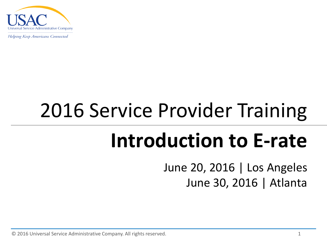

## 2016 Service Provider Training

## **Introduction to E-rate**

June 20, 2016 | Los Angeles June 30, 2016 | Atlanta

© 2016 Universal Service Administrative Company. All rights reserved. 1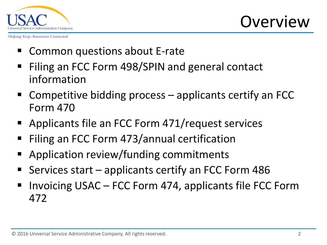

#### **Overview**

- Common questions about E-rate
- Filing an FCC Form 498/SPIN and general contact information
- Competitive bidding process applicants certify an FCC Form 470
- Applicants file an FCC Form 471/request services
- Filing an FCC Form 473/annual certification
- Application review/funding commitments
- Services start applicants certify an FCC Form 486
- Invoicing USAC FCC Form 474, applicants file FCC Form 472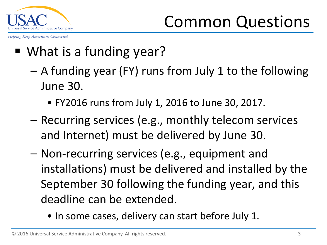

- What is a funding year?
	- A funding year (FY) runs from July 1 to the following June 30.
		- FY2016 runs from July 1, 2016 to June 30, 2017.
	- Recurring services (e.g., monthly telecom services and Internet) must be delivered by June 30.
	- Non-recurring services (e.g., equipment and installations) must be delivered and installed by the September 30 following the funding year, and this deadline can be extended.
		- In some cases, delivery can start before July 1.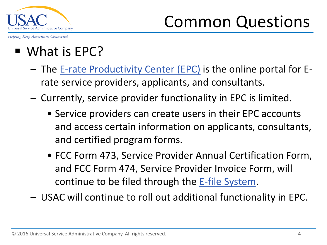

- What is EPC?
	- The [E-rate Productivity Center \(EPC\)](http://www.usac.org/sl/tools/apply-to-erate/window-2016.aspx) is the online portal for Erate service providers, applicants, and consultants.
	- Currently, service provider functionality in EPC is limited.
		- Service providers can create users in their EPC accounts and access certain information on applicants, consultants, and certified program forms.
		- FCC Form 473, Service Provider Annual Certification Form, and FCC Form 474, Service Provider Invoice Form, will continue to be filed through the [E-file System](https://forms.universalservice.org/usaclogin/login.asp).
	- USAC will continue to roll out additional functionality in EPC.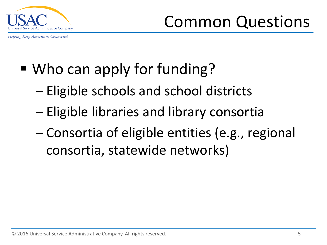

Common Questions

- Who can apply for funding?
	- Eligible schools and school districts
	- Eligible libraries and library consortia
	- Consortia of eligible entities (e.g., regional consortia, statewide networks)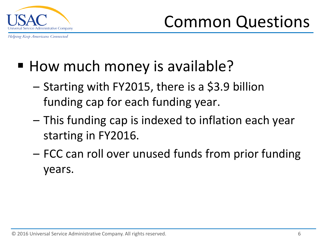

- How much money is available?
	- Starting with FY2015, there is a \$3.9 billion funding cap for each funding year.
	- This funding cap is indexed to inflation each year starting in FY2016.
	- FCC can roll over unused funds from prior funding years.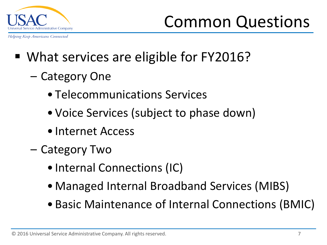

Common Questions

- What services are eligible for FY2016?
	- Category One
		- Telecommunications Services
		- Voice Services (subject to phase down)
		- Internet Access
	- Category Two
		- Internal Connections (IC)
		- Managed Internal Broadband Services (MIBS)
		- Basic Maintenance of Internal Connections (BMIC)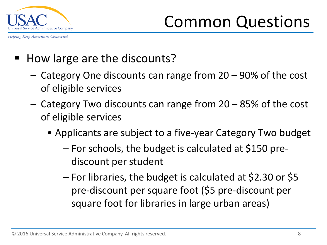

Common Questions

- How large are the discounts?
	- Category One discounts can range from 20 90% of the cost of eligible services
	- Category Two discounts can range from 20 85% of the cost of eligible services
		- Applicants are subject to a five-year Category Two budget
			- For schools, the budget is calculated at \$150 prediscount per student
			- For libraries, the budget is calculated at \$2.30 or \$5 pre-discount per square foot (\$5 pre-discount per square foot for libraries in large urban areas)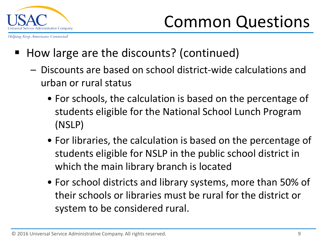

- How large are the discounts? (continued)
	- Discounts are based on school district-wide calculations and urban or rural status
		- For schools, the calculation is based on the percentage of students eligible for the National School Lunch Program (NSLP)
		- For libraries, the calculation is based on the percentage of students eligible for NSLP in the public school district in which the main library branch is located
		- For school districts and library systems, more than 50% of their schools or libraries must be rural for the district or system to be considered rural.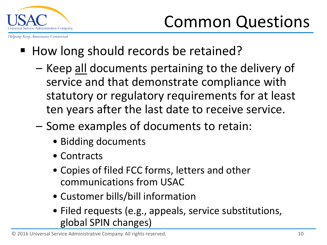

- How long should records be retained?
	- Keep all documents pertaining to the delivery of service and that demonstrate compliance with statutory or regulatory requirements for at least ten years after the last date to receive service.
	- Some examples of documents to retain:
		- Bidding documents
		- Contracts
		- Copies of filed FCC forms, letters and other communications from USAC
		- Customer bills/bill information
		- Filed requests (e.g., appeals, service substitutions, global SPIN changes)

© 2016 Universal Service Administrative Company. All rights reserved. 10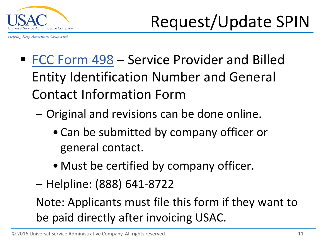

- [FCC Form 498](http://www.universalservice.org/_res/documents/fund-administration/pdf/form-498-fy2006.pdf) Service Provider and Billed Entity Identification Number and General Contact Information Form
	- Original and revisions can be done online.
		- Can be submitted by company officer or general contact.
		- Must be certified by company officer.
	- Helpline: (888) 641-8722

Note: Applicants must file this form if they want to be paid directly after invoicing USAC.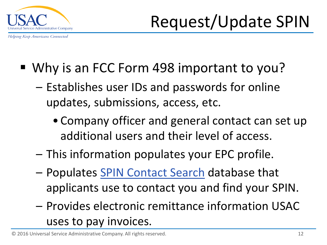

- Why is an FCC Form 498 important to you?
	- Establishes user IDs and passwords for online updates, submissions, access, etc.
		- Company officer and general contact can set up additional users and their level of access.
	- This information populates your EPC profile.
	- Populates [SPIN Contact Search](http://www.sl.universalservice.org/Forms/SPIN_Contact_Search.asp) database that applicants use to contact you and find your SPIN.
	- Provides electronic remittance information USAC uses to pay invoices.

© 2016 Universal Service Administrative Company. All rights reserved. 12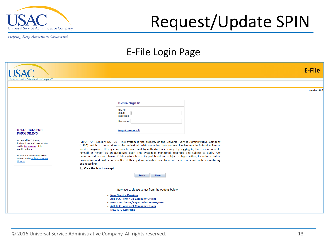

### Request/Update SPIN

Helping Keep Americans Connected

#### E-File Login Page

|                                                                                                                                                                                                                               | E-File                                                                                                                                                                                                                                                                                                                                                                                                                                                                                                                                                                                                                                                                                                                                               |
|-------------------------------------------------------------------------------------------------------------------------------------------------------------------------------------------------------------------------------|------------------------------------------------------------------------------------------------------------------------------------------------------------------------------------------------------------------------------------------------------------------------------------------------------------------------------------------------------------------------------------------------------------------------------------------------------------------------------------------------------------------------------------------------------------------------------------------------------------------------------------------------------------------------------------------------------------------------------------------------------|
| ervice Administrative Company®                                                                                                                                                                                                | version 8.0<br><b>E-File Sign In</b><br>User ID<br>(email<br>address):<br>Password:                                                                                                                                                                                                                                                                                                                                                                                                                                                                                                                                                                                                                                                                  |
| <b>RESOURCES FOR</b><br><b>FORM FILING</b><br>Access all FCC Forms,<br>instructions, and user guides<br>on the Forms page of the<br>public website.<br>Watch our form-filing demo<br>videos in the Online Learning<br>Library | Forgot password?<br>IMPORTANT SYSTEM NOTICE - This system is the property of the Universal Service Administrative Company<br>(USAC) and is to be used to assist individuals with managing their entity's involvement in federal universal<br>service programs. This system may be accessed by authorized users only. By logging in, the user represents<br>himself or herself as an authorized user. This system is monitored, recorded and subject to audit. Any<br>unauthorized use or misuse of this system is strictly prohibited and subject to legal action, including criminal<br>prosecution and civil penalties. Use of this system indicates acceptance of these terms and system monitoring<br>and recording.<br>Click the box to accept. |
|                                                                                                                                                                                                                               | <b>Reset</b><br>Login<br>New users, please select from the options below:<br>• New Service Provider<br>• Add FCC Form 498 Company Officer<br>• New Contributor/Registration In Progress<br>• Add FCC Form 499 Company Officer<br>• New RHC Applicant                                                                                                                                                                                                                                                                                                                                                                                                                                                                                                 |

© 2016 Universal Service Administrative Company. All rights reserved. 13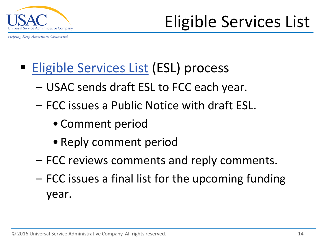

- [Eligible Services List](http://www.usac.org/sl/applicants/beforeyoubegin/eligible-services-list.aspx) (ESL) process
	- USAC sends draft ESL to FCC each year.
	- FCC issues a Public Notice with draft ESL.
		- Comment period
		- Reply comment period
	- FCC reviews comments and reply comments.
	- FCC issues a final list for the upcoming funding year.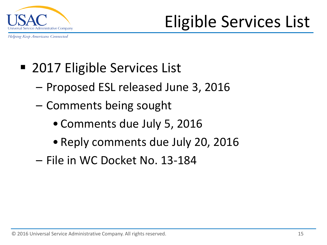

Eligible Services List

- 2017 Eligible Services List
	- Proposed ESL released June 3, 2016
	- Comments being sought
		- Comments due July 5, 2016
		- Reply comments due July 20, 2016
	- File in WC Docket No. 13-184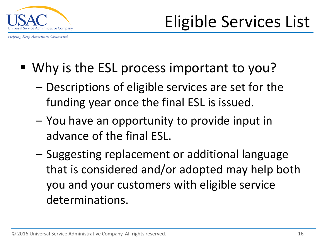

- Why is the ESL process important to you?
	- Descriptions of eligible services are set for the funding year once the final ESL is issued.
	- You have an opportunity to provide input in advance of the final ESL.
	- Suggesting replacement or additional language that is considered and/or adopted may help both you and your customers with eligible service determinations.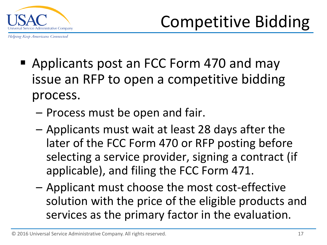

- Applicants post an FCC Form 470 and may issue an RFP to open a competitive bidding process.
	- Process must be open and fair.
	- Applicants must wait at least 28 days after the later of the FCC Form 470 or RFP posting before selecting a service provider, signing a contract (if applicable), and filing the FCC Form 471.
	- Applicant must choose the most cost-effective solution with the price of the eligible products and services as the primary factor in the evaluation.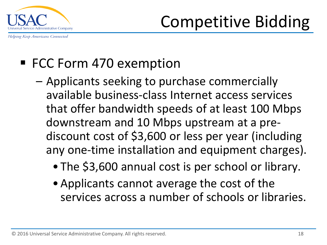

Helping Keep Americans Connected

#### ■ FCC Form 470 exemption

- Applicants seeking to purchase commercially available business-class Internet access services that offer bandwidth speeds of at least 100 Mbps downstream and 10 Mbps upstream at a prediscount cost of \$3,600 or less per year (including any one-time installation and equipment charges).
	- The \$3,600 annual cost is per school or library.
	- Applicants cannot average the cost of the services across a number of schools or libraries.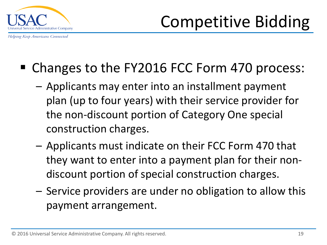

- Changes to the FY2016 FCC Form 470 process:
	- Applicants may enter into an installment payment plan (up to four years) with their service provider for the non-discount portion of Category One special construction charges.
	- Applicants must indicate on their FCC Form 470 that they want to enter into a payment plan for their nondiscount portion of special construction charges.
	- Service providers are under no obligation to allow this payment arrangement.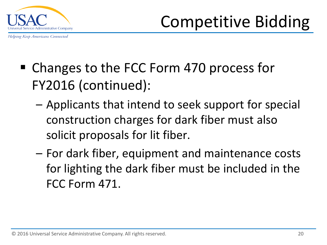

- Changes to the FCC Form 470 process for FY2016 (continued):
	- Applicants that intend to seek support for special construction charges for dark fiber must also solicit proposals for lit fiber.
	- For dark fiber, equipment and maintenance costs for lighting the dark fiber must be included in the FCC Form 471.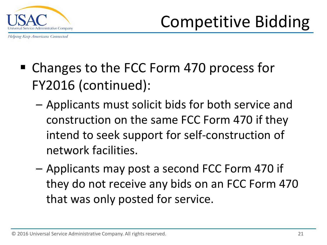

- Changes to the FCC Form 470 process for FY2016 (continued):
	- Applicants must solicit bids for both service and construction on the same FCC Form 470 if they intend to seek support for self-construction of network facilities.
	- Applicants may post a second FCC Form 470 if they do not receive any bids on an FCC Form 470 that was only posted for service.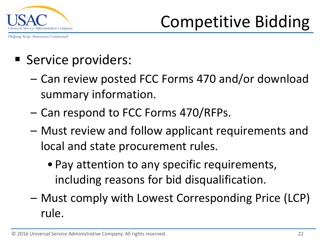

- Service providers:
	- Can review posted FCC Forms 470 and/or download summary information.
	- Can respond to FCC Forms 470/RFPs.
	- Must review and follow applicant requirements and local and state procurement rules.
		- Pay attention to any specific requirements, including reasons for bid disqualification.
	- Must comply with Lowest Corresponding Price (LCP) rule.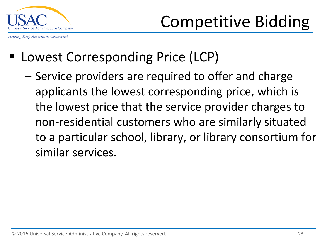

#### ■ Lowest Corresponding Price (LCP)

– Service providers are required to offer and charge applicants the lowest corresponding price, which is the lowest price that the service provider charges to non-residential customers who are similarly situated to a particular school, library, or library consortium for similar services.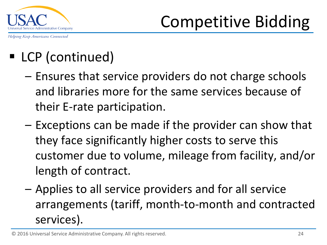

#### ■ LCP (continued)

- Ensures that service providers do not charge schools and libraries more for the same services because of their E-rate participation.
- Exceptions can be made if the provider can show that they face significantly higher costs to serve this customer due to volume, mileage from facility, and/or length of contract.
- Applies to all service providers and for all service arrangements (tariff, month-to-month and contracted services).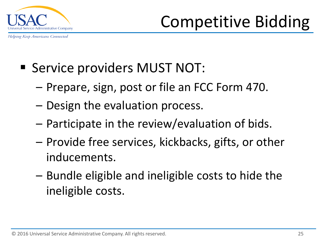

- **Service providers MUST NOT:** 
	- Prepare, sign, post or file an FCC Form 470.
	- Design the evaluation process.
	- Participate in the review/evaluation of bids.
	- Provide free services, kickbacks, gifts, or other inducements.
	- Bundle eligible and ineligible costs to hide the ineligible costs.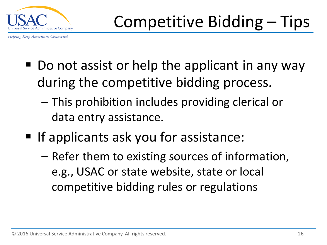

- Do not assist or help the applicant in any way during the competitive bidding process.
	- This prohibition includes providing clerical or data entry assistance.
- If applicants ask you for assistance:
	- Refer them to existing sources of information, e.g., USAC or state website, state or local competitive bidding rules or regulations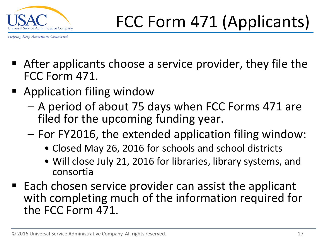

- After applicants choose a service provider, they file the FCC Form 471.
- Application filing window
	- A period of about 75 days when FCC Forms 471 are filed for the upcoming funding year.
	- For FY2016, the extended application filing window:
		- Closed May 26, 2016 for schools and school districts
		- Will close July 21, 2016 for libraries, library systems, and consortia
- $\blacksquare$  Each chosen service provider can assist the applicant with completing much of the information required for the FCC Form 471.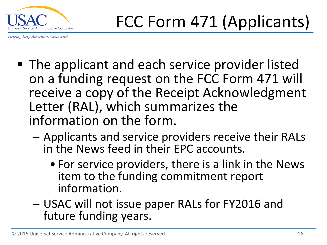

- The applicant and each service provider listed on a funding request on the FCC Form 471 will receive a copy of the Receipt Acknowledgment Letter (RAL), which summarizes the information on the form.
	- Applicants and service providers receive their RALs in the News feed in their EPC accounts.
		- For service providers, there is a link in the News item to the funding commitment report information.
	- USAC will not issue paper RALs for FY2016 and future funding years.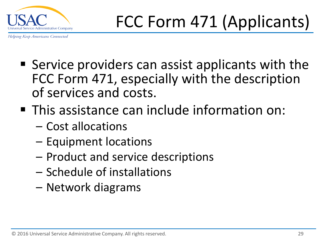

- Service providers can assist applicants with the FCC Form 471, especially with the description of services and costs.
- This assistance can include information on:
	- Cost allocations
	- Equipment locations
	- Product and service descriptions
	- Schedule of installations
	- Network diagrams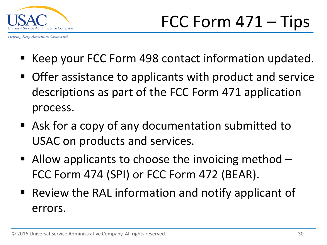

- Keep your FCC Form 498 contact information updated.
- Offer assistance to applicants with product and service descriptions as part of the FCC Form 471 application process.
- Ask for a copy of any documentation submitted to USAC on products and services.
- Allow applicants to choose the invoicing method  $-$ FCC Form 474 (SPI) or FCC Form 472 (BEAR).
- Review the RAL information and notify applicant of errors.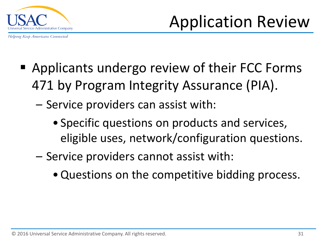

Application Review

- Applicants undergo review of their FCC Forms 471 by Program Integrity Assurance (PIA).
	- Service providers can assist with:
		- Specific questions on products and services, eligible uses, network/configuration questions.
	- Service providers cannot assist with:
		- •Questions on the competitive bidding process.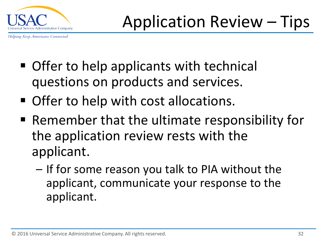

- Offer to help applicants with technical questions on products and services.
- **Offer to help with cost allocations.**
- Remember that the ultimate responsibility for the application review rests with the applicant.
	- If for some reason you talk to PIA without the applicant, communicate your response to the applicant.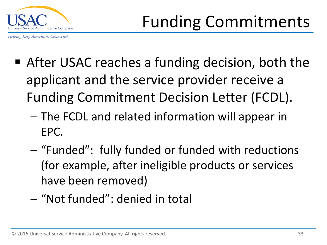

- After USAC reaches a funding decision, both the applicant and the service provider receive a Funding Commitment Decision Letter (FCDL).
	- The FCDL and related information will appear in EPC.
	- "Funded": fully funded or funded with reductions (for example, after ineligible products or services have been removed)
	- "Not funded": denied in total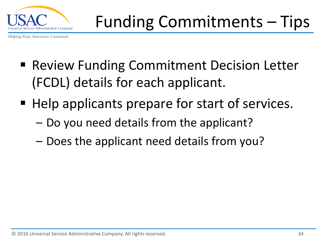

- **Review Funding Commitment Decision Letter** (FCDL) details for each applicant.
- Help applicants prepare for start of services.
	- Do you need details from the applicant?
	- Does the applicant need details from you?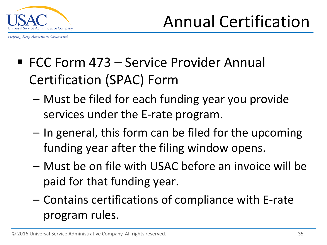

Annual Certification

- FCC Form 473 Service Provider Annual Certification (SPAC) Form
	- Must be filed for each funding year you provide services under the E-rate program.
	- In general, this form can be filed for the upcoming funding year after the filing window opens.
	- Must be on file with USAC before an invoice will be paid for that funding year.
	- Contains certifications of compliance with E-rate program rules.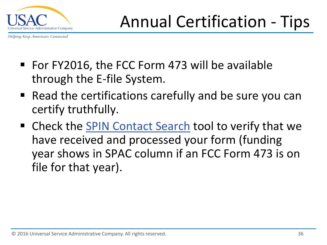

- For FY2016, the FCC Form 473 will be available through the E-file System.
- Read the certifications carefully and be sure you can certify truthfully.
- Check the [SPIN Contact Search](http://www.sl.universalservice.org/Forms/SPIN_Contact_Search.asp) tool to verify that we have received and processed your form (funding year shows in SPAC column if an FCC Form 473 is on file for that year).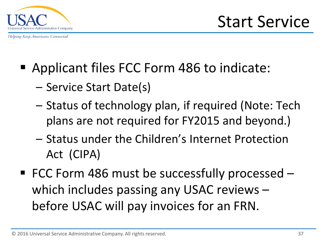

- Applicant files FCC Form 486 to indicate:
	- Service Start Date(s)
	- Status of technology plan, if required (Note: Tech plans are not required for FY2015 and beyond.)
	- Status under the Children's Internet Protection Act (CIPA)
- FCC Form 486 must be successfully processed which includes passing any USAC reviews – before USAC will pay invoices for an FRN.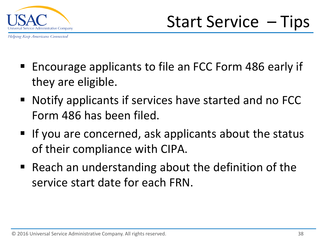

- Encourage applicants to file an FCC Form 486 early if they are eligible.
- Notify applicants if services have started and no FCC Form 486 has been filed.
- **If you are concerned, ask applicants about the status** of their compliance with CIPA.
- Reach an understanding about the definition of the service start date for each FRN.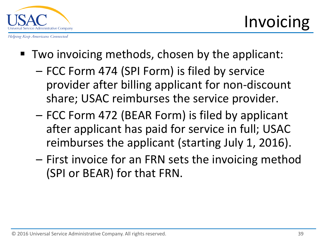

- Two invoicing methods, chosen by the applicant:
	- FCC Form 474 (SPI Form) is filed by service provider after billing applicant for non-discount share; USAC reimburses the service provider.
	- FCC Form 472 (BEAR Form) is filed by applicant after applicant has paid for service in full; USAC reimburses the applicant (starting July 1, 2016).
	- First invoice for an FRN sets the invoicing method (SPI or BEAR) for that FRN.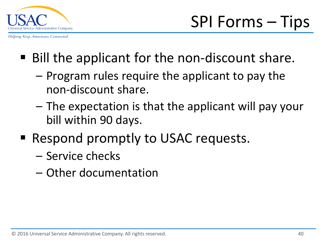

- Bill the applicant for the non-discount share.
	- Program rules require the applicant to pay the non-discount share.
	- The expectation is that the applicant will pay your bill within 90 days.
- Respond promptly to USAC requests.
	- Service checks
	- Other documentation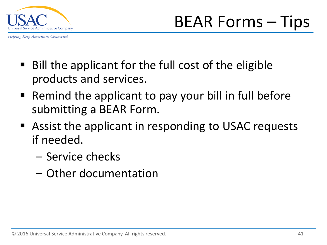

BEAR Forms – Tips

- Bill the applicant for the full cost of the eligible products and services.
- Remind the applicant to pay your bill in full before submitting a BEAR Form.
- Assist the applicant in responding to USAC requests if needed.
	- Service checks
	- Other documentation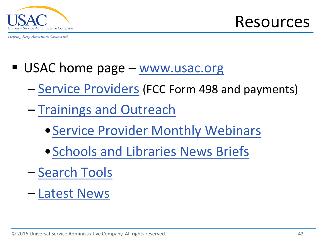

Resources

- USAC home page [www.usac.org](http://www.usac.org/)
	- [Service Providers](http://www.usac.org/sp/default.aspx) (FCC Form 498 and payments)
	- [Trainings and Outreach](http://www.usac.org/sl/about/outreach/default.aspx)
		- [•Service Provider Monthly Webinars](http://www.usac.org/sl/about/outreach/conf-calls/default.aspx)
		- [•Schools and Libraries News Briefs](http://www.usac.org/sl/tools/news-briefs/Default.aspx)
	- [Search Tools](http://www.usac.org/sl/tools/default.aspx)
	- [Latest News](http://www.usac.org/sl/tools/news/default.aspx)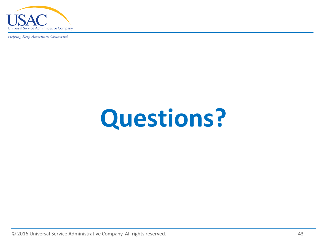

# **Questions?**